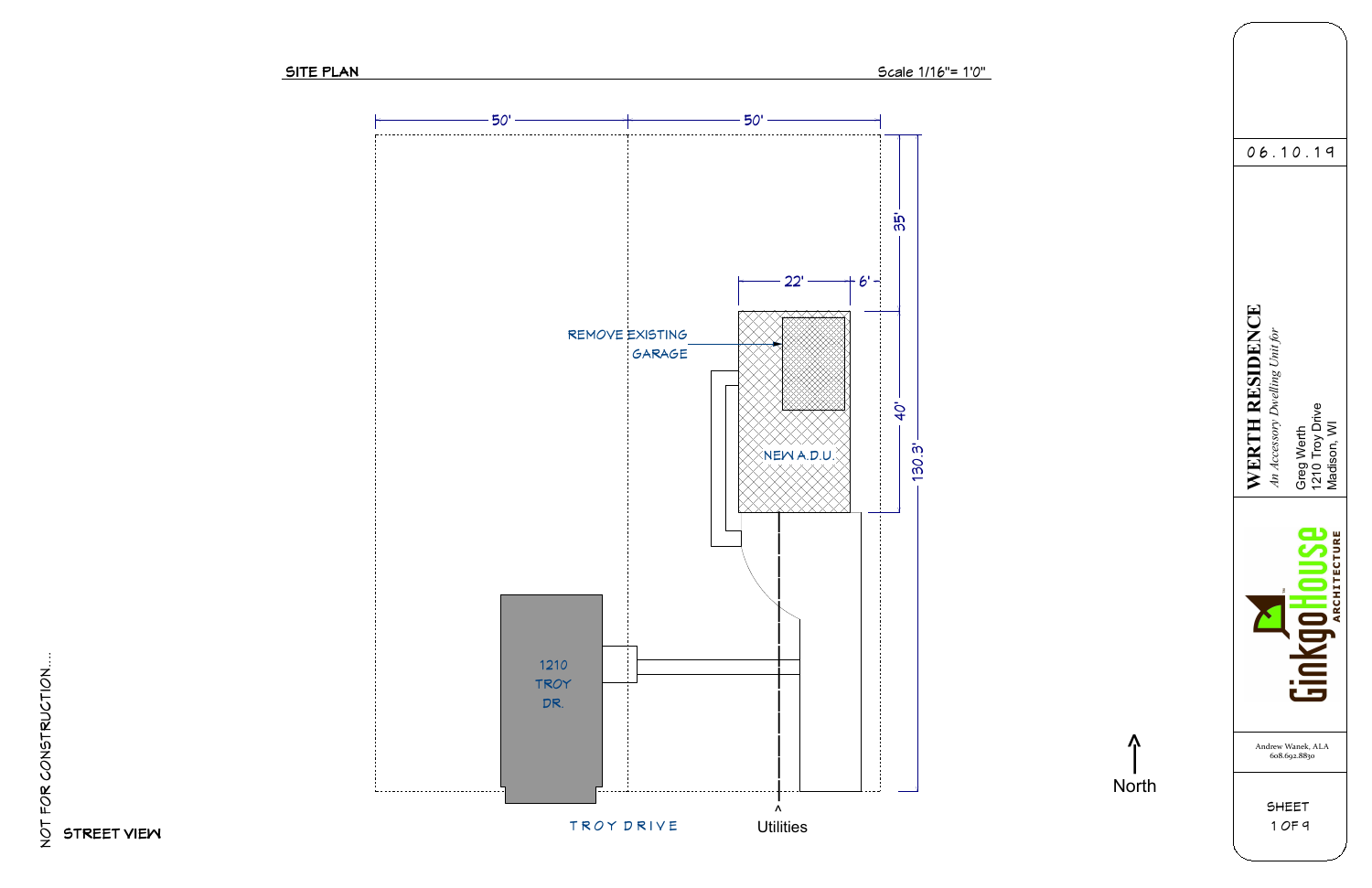





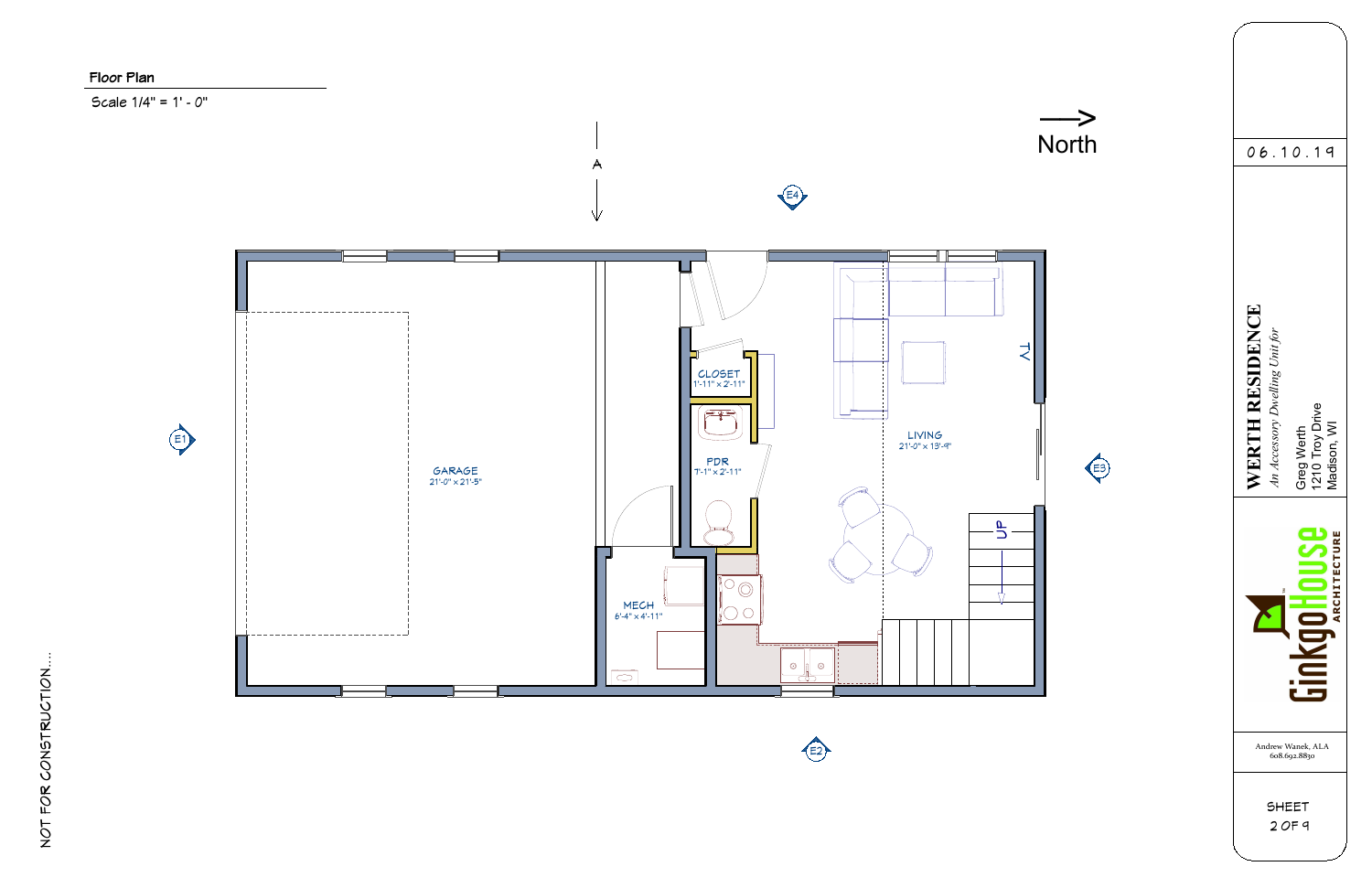

Scale 1/4" = 1' - 0"



## Floor Plan

NOT FOR CONSTRUCTION....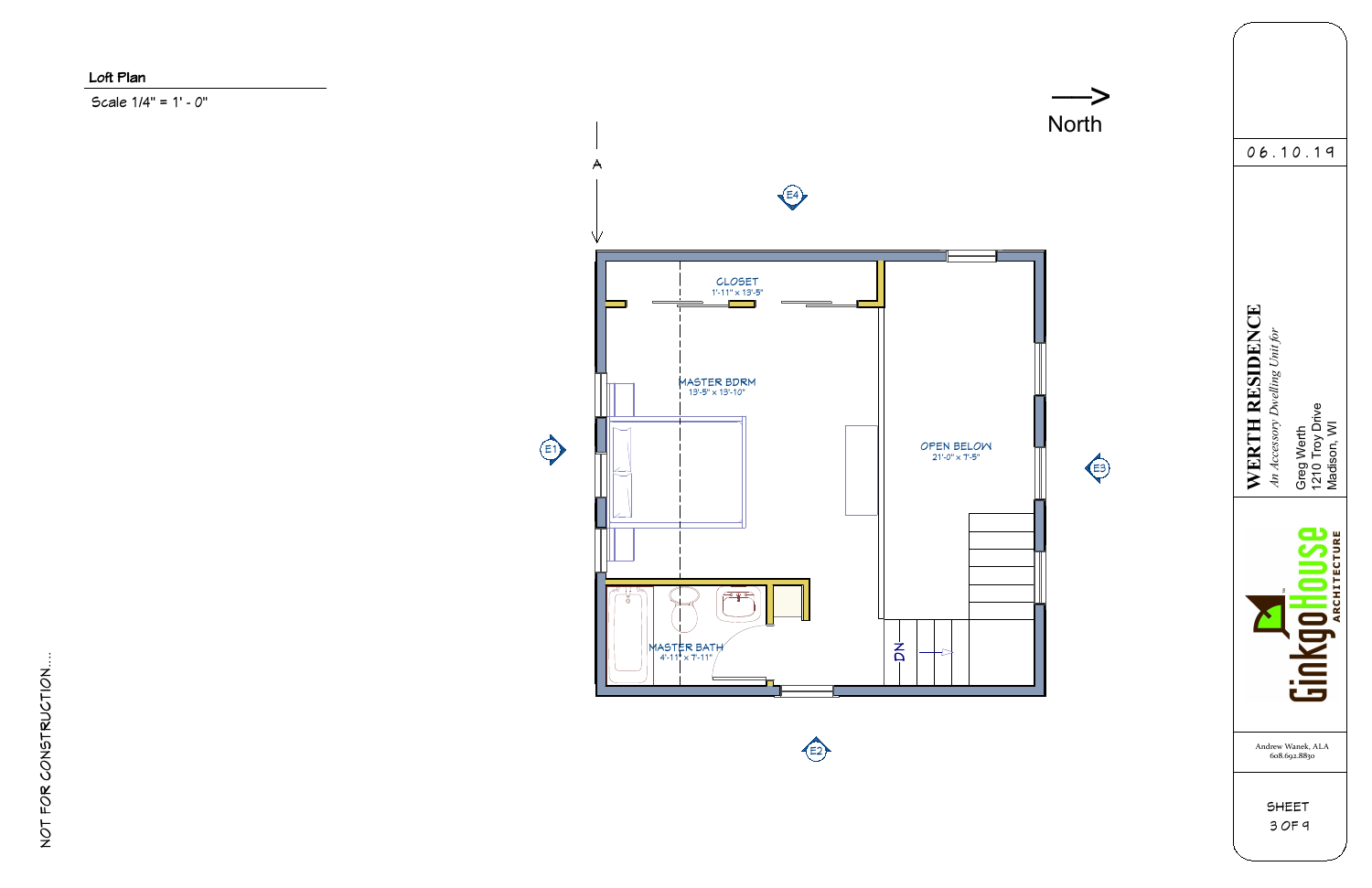

Scale 1/4" = 1' - 0"



# Loft Plan

NOT FOR CONSTRUCTION....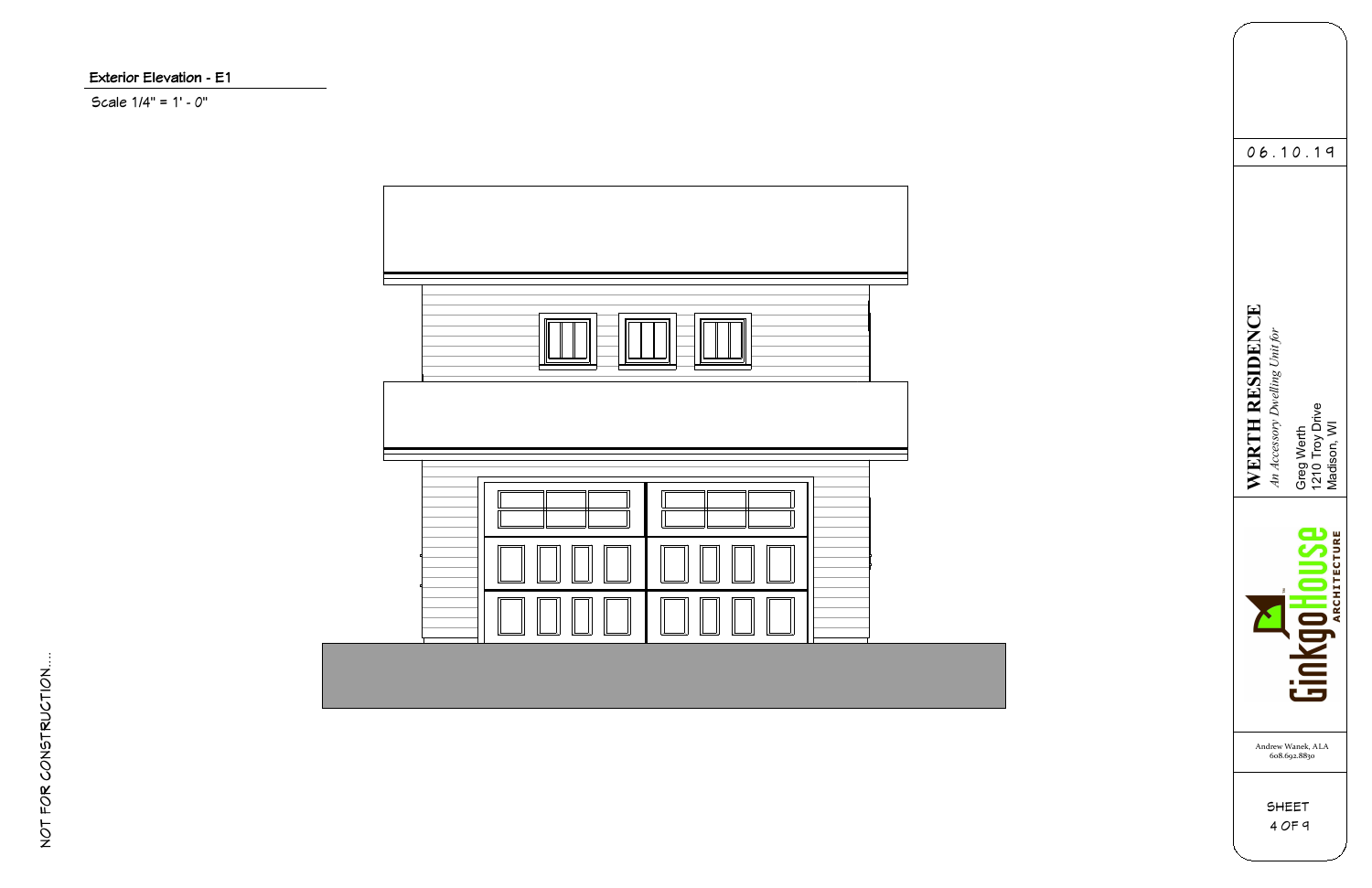

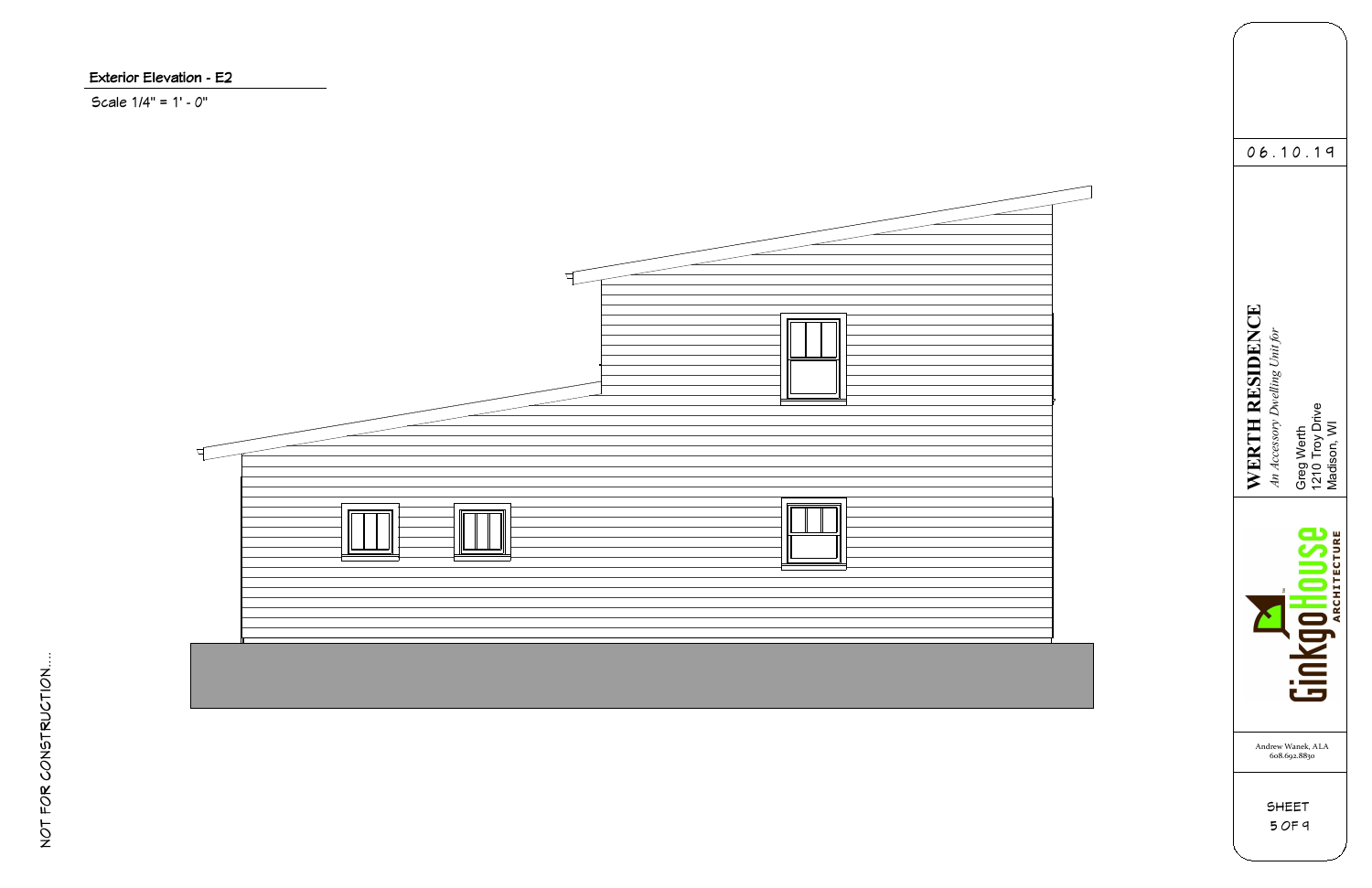

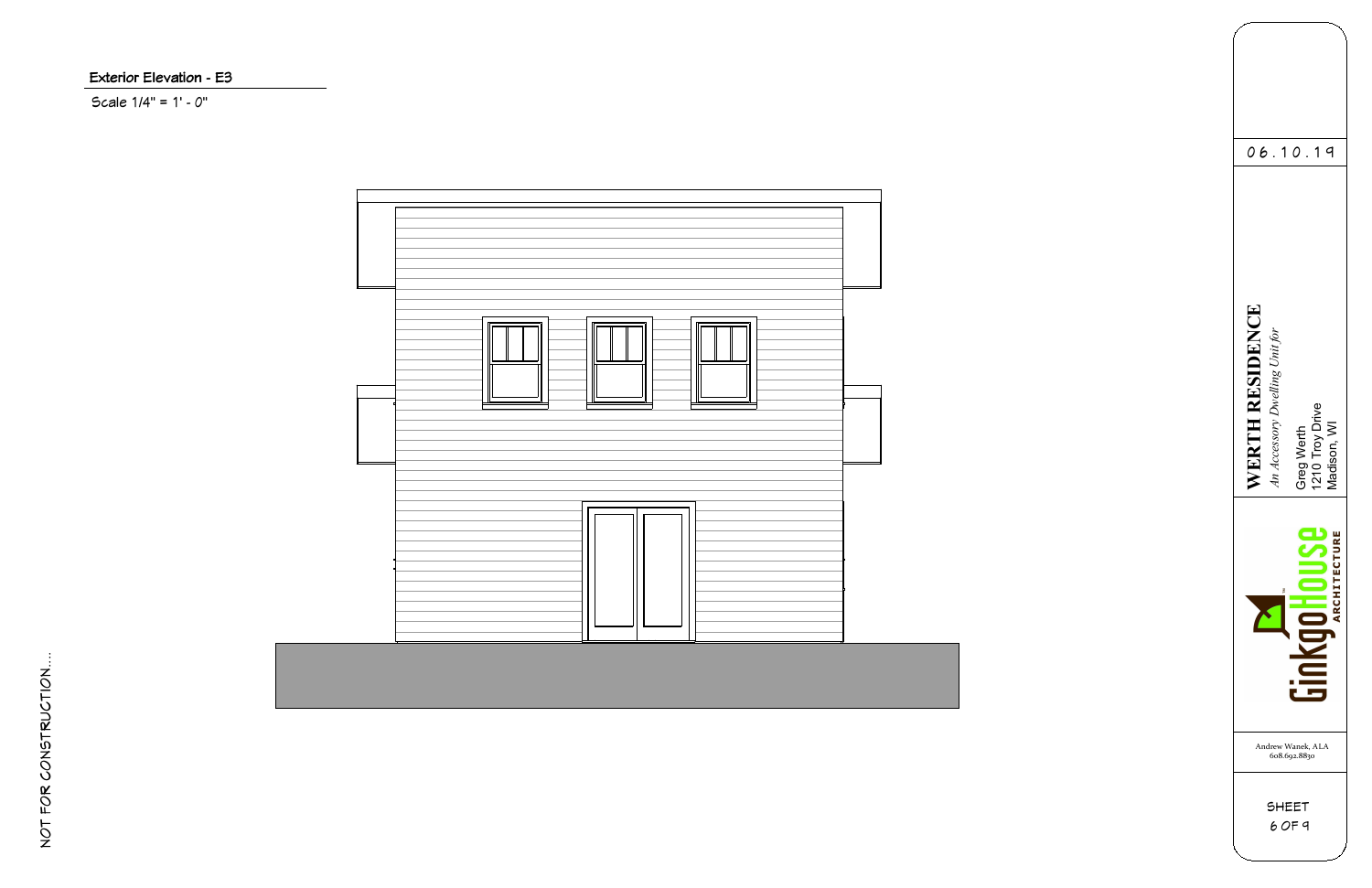

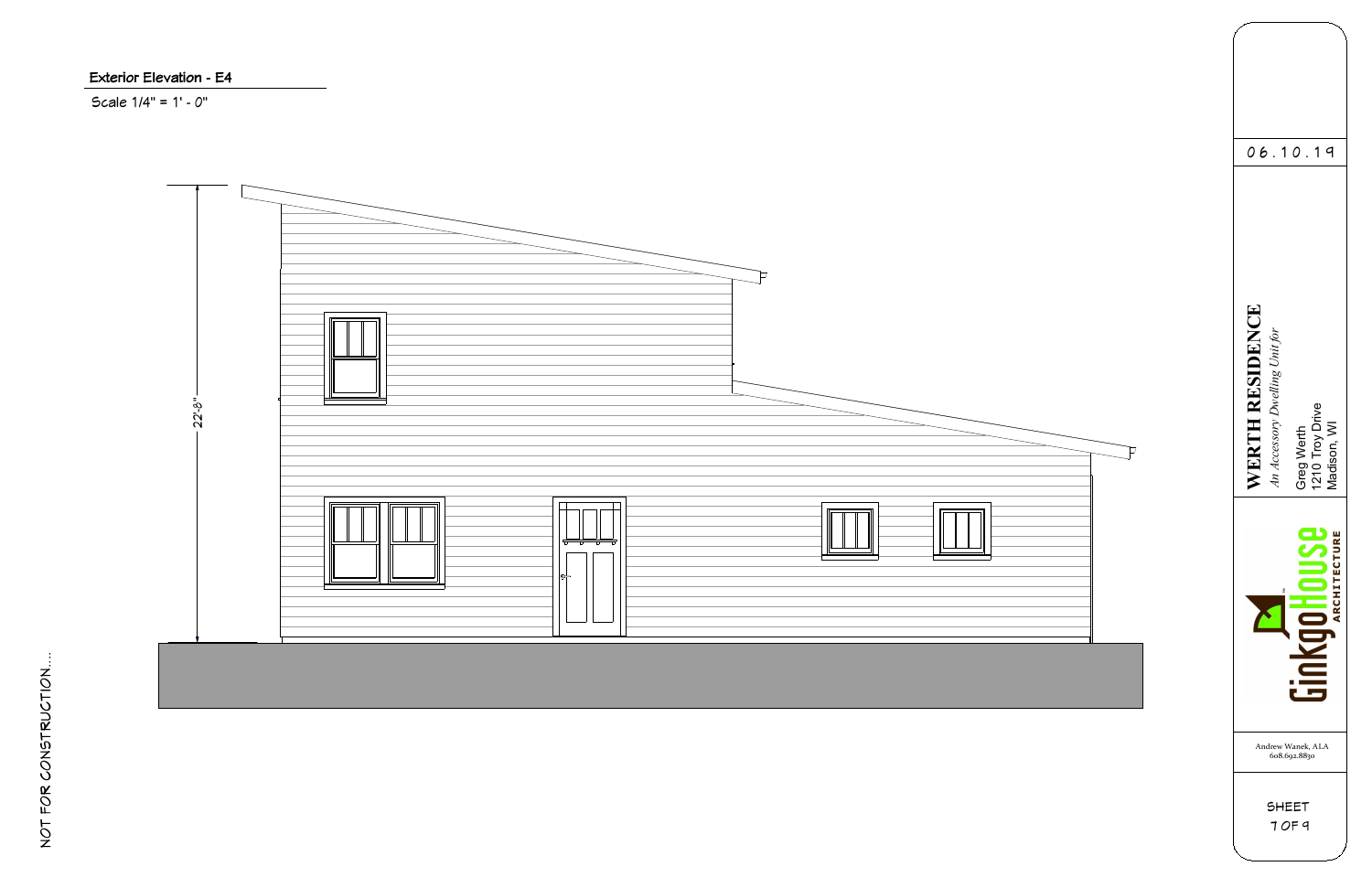

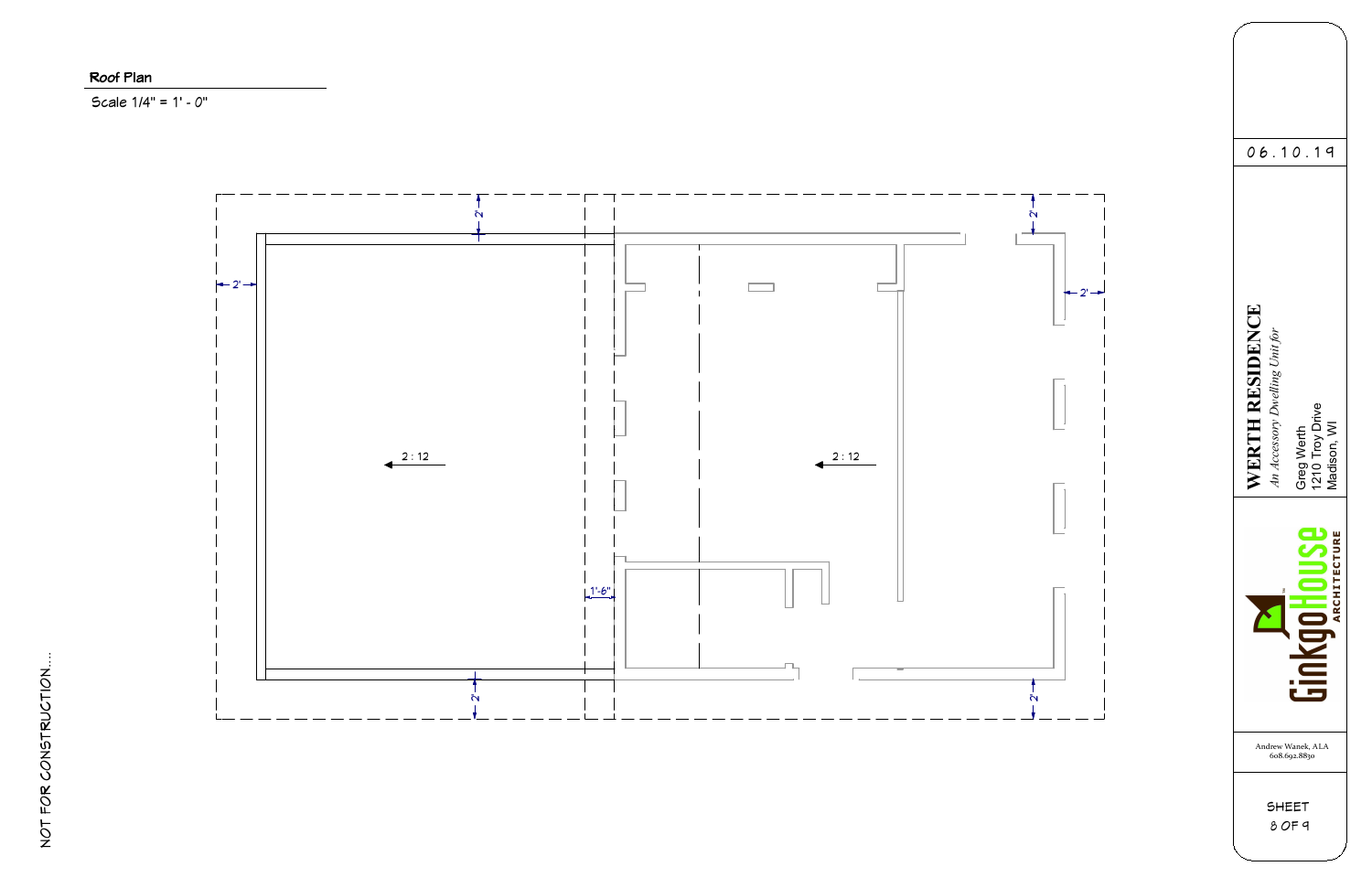